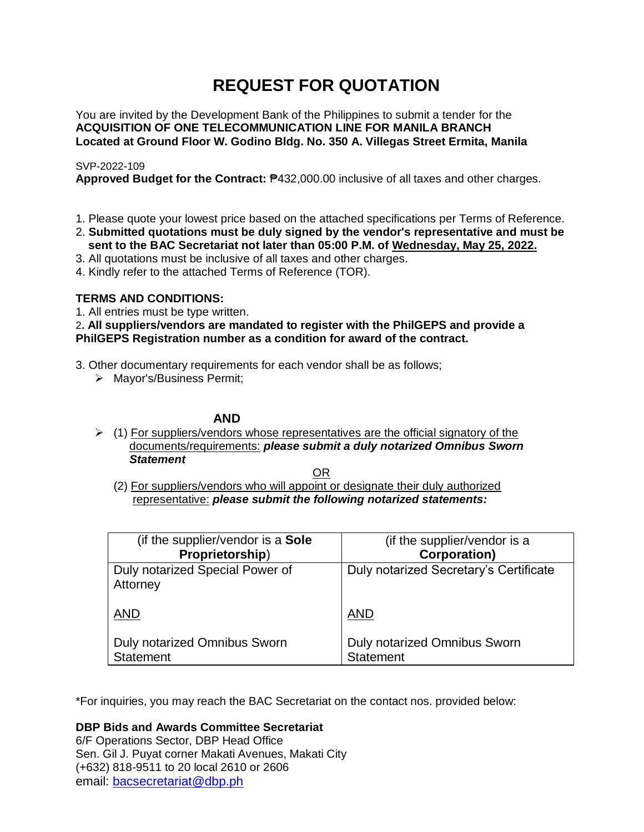# **REQUEST FOR QUOTATION**

You are invited by the Development Bank of the Philippines to submit a tender for the **ACQUISITION OF ONE TELECOMMUNICATION LINE FOR MANILA BRANCH Located at Ground Floor W. Godino Bldg. No. 350 A. Villegas Street Ermita, Manila**

# SVP-2022-109

**Approved Budget for the Contract:** ₱432,000.00 inclusive of all taxes and other charges.

- 1. Please quote your lowest price based on the attached specifications per Terms of Reference.
- 2. **Submitted quotations must be duly signed by the vendor's representative and must be sent to the BAC Secretariat not later than 05:00 P.M. of Wednesday, May 25, 2022.**
- 3. All quotations must be inclusive of all taxes and other charges.
- 4. Kindly refer to the attached Terms of Reference (TOR).

# **TERMS AND CONDITIONS:**

1. All entries must be type written.

2**. All suppliers/vendors are mandated to register with the PhilGEPS and provide a PhilGEPS Registration number as a condition for award of the contract.**

- 3. Other documentary requirements for each vendor shall be as follows;
	- > Mayor's/Business Permit;

# **AND**

 $\geq$  (1) For suppliers/vendors whose representatives are the official signatory of the documents/requirements: *please submit a duly notarized Omnibus Sworn Statement*

<u>OR Starting and the Starting OR Starting</u>

(2) For suppliers/vendors who will appoint or designate their duly authorized representative: *please submit the following notarized statements:*

| (if the supplier/vendor is a Sole                | (if the supplier/vendor is a                     |
|--------------------------------------------------|--------------------------------------------------|
| Proprietorship)                                  | <b>Corporation)</b>                              |
| Duly notarized Special Power of<br>Attorney      | Duly notarized Secretary's Certificate           |
| <b>AND</b>                                       | <b>AND</b>                                       |
| Duly notarized Omnibus Sworn<br><b>Statement</b> | Duly notarized Omnibus Sworn<br><b>Statement</b> |

\*For inquiries, you may reach the BAC Secretariat on the contact nos. provided below:

**DBP Bids and Awards Committee Secretariat** 

6/F Operations Sector, DBP Head Office Sen. Gil J. Puyat corner Makati Avenues, Makati City (+632) 818-9511 to 20 local 2610 or 2606 email: [bacsecretariat@dbp.ph](mailto:bacsecretariat@dbp.ph)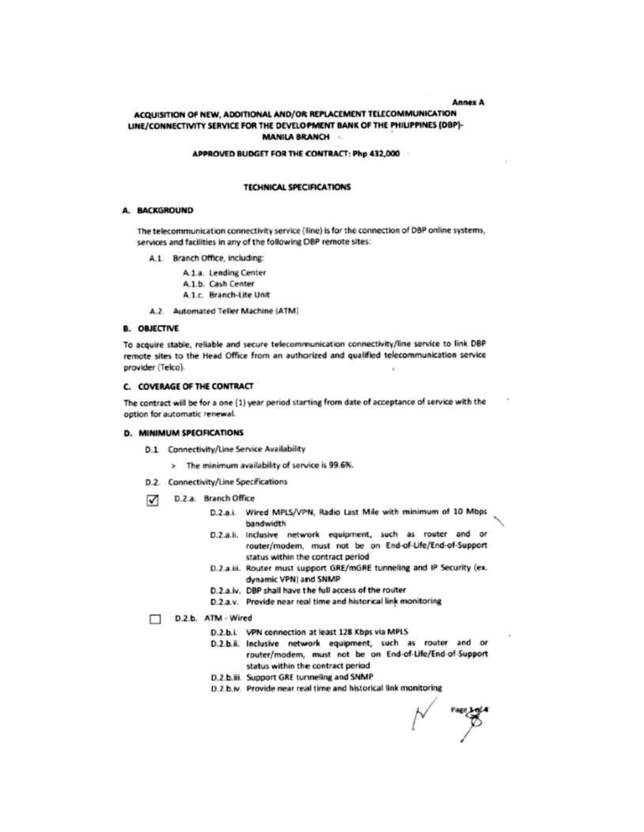**Annex A** 

## ACQUISITION OF NEW, ADDITIONAL AND/OR REPLACEMENT TELECOMMUNICATION LINE/CONNECTIVITY SERVICE FOR THE DEVELOPMENT BANK OF THE PHILIPPINES (DBP)-**MANILA BRANCH**

#### APPROVED BUDGET FOR THE CONTRACT: Php 432,000

#### **TECHNICAL SPECIFICATIONS**

#### A. BACKGROUND

The telecommunication connectivity service (line) is for the connection of DBP online systems, services and facilities in any of the following DBP remote sites:

- A.1. Branch Office, including:
	- A.1.a. Lending Center
	- A.1.b. Cash Center
	- A.1.c. Branch-Lite Unit
- A.2. Automated Teller Machine (ATM)

#### **B. OBJECTIVE**

To acquire stable, reliable and secure telecommunication connectivity/line service to link DBP remote sites to the Head Office from an authorized and qualified telecommunication service provider (Telco).

### **C. COVERAGE OF THE CONTRACT**

The contract will be for a one (1) year period starting from date of acceptance of service with the option for automatic renewal.

#### **D. MINIMUM SPECIFICATIONS**

- D.1 Connectivity/Line Service Availability
	- > The minimum availability of service is 99.6%.
- D.2. Connectivity/Line Specifications
- D.2.a. Branch Office ⊽
	- D.2.a.i. Wired MPLS/VPN, Radio Last Mile with minimum of 10 Mbps bandwidth
	- D.2.a.ii. Inclusive network equipment, such as router and or router/modem, must not be on End-of-Life/End-of-Support status within the contract period
	- D.2.a.iii. Router must support GRE/mGRE tunneling and IP Security (ex. dynamic VPN) and SNMP
	- D.2.a.iv. DBP shall have the full access of the router
	- D.2.a.v. Provide near real time and historical link monitoring

#### D.2.b. ATM - Wired

- D.2.b.i. VPN connection at least 128 Kbps via MPLS
- D.2.b.ii. Inclusive network equipment, such as router and or router/modem, must not be on End-of-Life/End-of-Support status within the contract period
- D.2.b.iii. Support GRE turnneling and SNMP
- D.2.b.w. Provide near real time and historical link monitoring

 $\beta$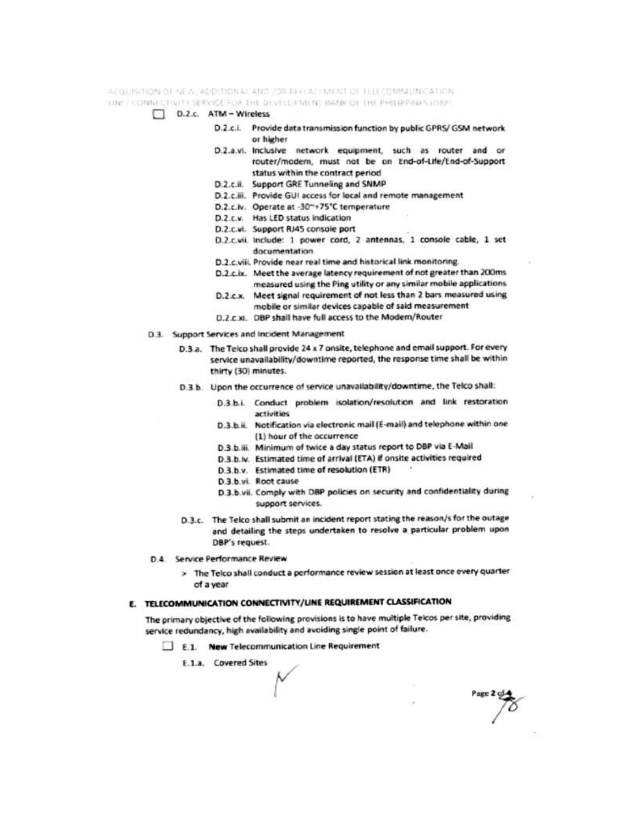ACQUISINON OF NEW ADDITIONAL AND JOR REFEACHMENT OF TELECOMMUNICATION.

- TINE / CONNECTIVITY SERVICE FOR THE DEVELOPMENT BANK OF THE PHILIPPINES (DBP)
	- D.2.c. ATM Wireless
		- D.2.c.i. Provide data transmission function by public GPRS/ GSM network or higher
		- D.2.a.vi. Inclusive network equipment, such as router and or router/modem, must not be on End-of-Life/End-of-Support status within the contract period
		- D.2.c.ii. Support GRE Tunneling and SNMP
		- D.2.c.iii. Provide GUI access for local and remote management
		- D.2.c.lv. Operate at -30"+75"C temperature
		- D.2.c.v. Has LED status indication
		- D.2.c.vi. Support RJ45 console port
		- D.2.c.vii. Include: 1 power cord, 2 antennas, 1 console cable, 1 set documentation
		- D.2.c.viii. Provide near real time and historical link monitoring.
		- D.2.c.ix. Meet the average latency requirement of not greater than 200ms measured using the Ping utility or any similar mobile applications
		- D.2.c.x. Meet signal requirement of not less than 2 bars measured using mobile or similar devices capable of said measurement
		- D.2.c.xi. DBP shall have full access to the Modem/Router
	- D.3. Support Services and Incident Management
		- D.3.a. The Telco shall provide 24 x 7 onsite, telephone and email support. For every service unavailability/downtime reported, the response time shall be within thirty (30) minutes.
		- D.3.b. Upon the occurrence of service unavailability/downtime, the Telco shall:
			- D.3.b.i. Conduct problem isolation/resolution and link restoration artivities
			- D.3.b.ii. Notification via electronic mail (E-mail) and telephone within one (1) hour of the occurrence
			- D.3.b.iii. Minimum of twice a day status report to DBP via E-Mail
			- D.3.b.lv. Estimated time of arrival (ETA) if onsite activities required
			- D.3.b.v. Estimated time of resolution (ETR)
			- D.3.b.vi. Root cause
			- D.3.b.vii. Comply with DBP policies on security and confidentiality during support services.
		- D.3.c. The Telco shall submit an incident report stating the reason/s for the outage and detailing the steps undertaken to resolve a particular problem upon DBP's request.
	- D.4 Service Performance Review
		- > The Telco shall conduct a performance review session at least once every quarter of a year

## E. TELECOMMUNICATION CONNECTIVITY/LINE REQUIREMENT CLASSIFICATION

The primary objective of the following provisions is to have multiple Telcos per site, providing service redundancy, high availability and avoiding single point of failure.

- E.1. New Telecommunication Line Requirement
	- E.1.a. Covered Sites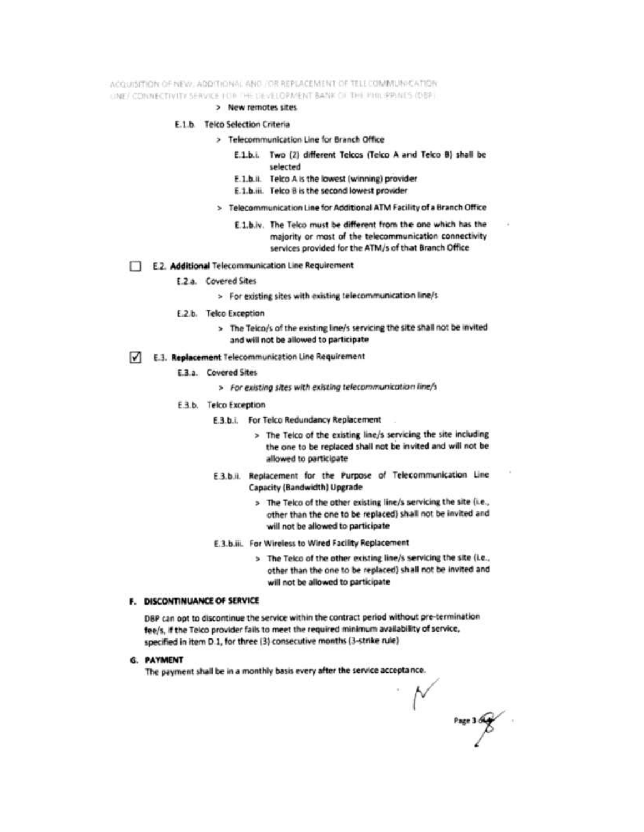ACOUISITION OF NEW : ADDITIONAL AND JOR REPLACEMENT OF TELECOMMUNICATION UNE/ CONNECTIVITY SERVICE FOR THE DEVELOPMENT BANK OF THE PHILIPPINES (DEP)

> New remotes sites

#### E.1.b. Telco Selection Criteria

- > Telecommunication Line for Branch Office
	- E.1.b.i. Two (2) different Telcos (Teico A and Telco B) shall be selected
	- E.1.b.ii. Telco A is the lowest (winning) provider
	- E.1.b.iii. Telco B is the second lowest provider
- > Telecommunication Line for Additional ATM Facility of a Branch Office
	- E.1.b.iv. The Telco must be different from the one which has the majority or most of the telecommunication connectivity services provided for the ATM/s of that Branch Office

#### E.2. Additional Telecommunication Line Requirement

- E.2.a. Covered Sites
	- > For existing sites with existing telecommunication line/s
- E.2.b. Telco Exception
	- > The Telco/s of the existing line/s servicing the site shall not be invited and will not be allowed to participate
- E.3. Replacement Telecommunication Line Requirement
	- E.3.a. Covered Sites
		- > For existing sites with existing telecommunication line/s
	- E.3.b. Telco Exception
		- E.3.b.i. For Telco Redundancy Replacement
			- > The Telco of the existing line/s servicing the site including the one to be replaced shall not be invited and will not be allowed to participate
		- E.3.b.ii. Replacement for the Purpose of Telecommunication Line Capacity (Bandwidth) Upgrade
			- > The Telco of the other existing line/s servicing the site (i.e., other than the one to be replaced) shall not be invited and will not be allowed to participate
		- E.3.b.iii. For Wireless to Wired Facility Replacement
			- > The Teico of the other existing line/s servicing the site (i.e., other than the one to be replaced) shall not be invited and will not be allowed to participate

## F. DISCONTINUANCE OF SERVICE

DBP can opt to discontinue the service within the contract period without pre-termination fee/s, if the Teico provider fails to meet the required minimum availability of service, specified in item D.1, for three (3) consecutive months (3-strike rule)

#### G. PAYMENT

The payment shall be in a monthly basis every after the service acceptance.

 $N$